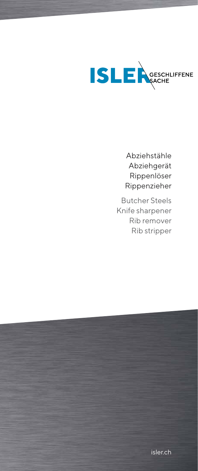

Abziehstähle Abziehgerät Rippenlöser Rippenzieher

Butcher Steels Knife sharpener Rib remover Rib stripper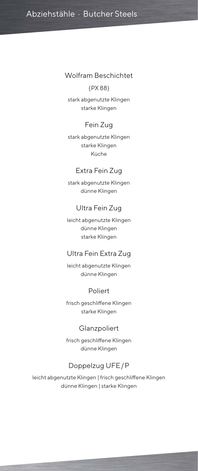### Wolfram Beschichtet

#### (PX 88)

stark abgenutzte Klingen starke Klingen

## Fein Zug

stark abgenutzte Klingen starke Klingen Küche

## Extra Fein Zug

stark abgenutzte Klingen dünne Klingen

### Ultra Fein Zug

leicht abgenutzte Klingen dünne Klingen starke Klingen

## Ultra Fein Extra Zug

leicht abgenutzte Klingen dünne Klingen

## Poliert

frisch geschliffene Klingen starke Klingen

### **Glanzpoliert**

frisch geschliffene Klingen dünne Klingen

# Doppelzug UFE / P

leicht abgenutzte Klingen | frisch geschliffene Klingen dünne Klingen | starke Klingen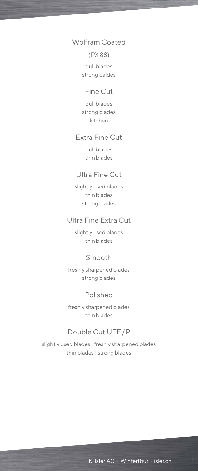# Wolfram Coated

#### ( PX 88)

dull blades strong baldes

### Fine Cut

dull blades strong blades kitchen

### Extra Fine Cut

dull blades thin blades

## Ultra Fine Cut

slightly used blades thin blades strong blades

## Ultra Fine Extra Cut

slightly used blades thin blades

## Smooth

freshly sharpened blades strong blades

## Polished

freshly sharpened blades thin blades

# Double Cut UFE/P

slightly used blades | freshly sharpened blades thin blades | strong blades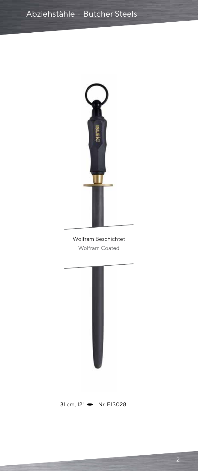

Wolfram Beschichtet Wolfram Coated



 $31 cm, 12"$  Nr. E13028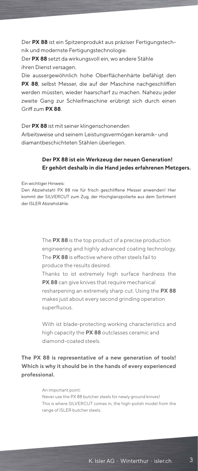Der **PX 88** ist ein Spitzenprodukt aus präziser Fertigungstechnik und modernste Fertigungstechnologie.

Der **PX 88** setzt da wirkungsvoll ein, wo andere Stähle ihren Dienst versagen.

Die aussergewöhnlich hohe Oberflächenhärte befähigt den **PX 88**, selbst Messer, die auf der Maschine nachgeschliffen werden müssten, wieder haarscharf zu machen. Nahezu jeder zweite Gang zur Schleifmaschine erübrigt sich durch einen Griff zum **PX 88**.

Der **PX 88** ist mit seiner klingenschonenden

Arbeitsweise und seinem Leistungsvermögen keramik- und diamantbeschichteten Stählen überlegen.

#### **Der PX 88 ist ein Werkzeug der neuen Generation! Er gehört deshalb in die Hand jedes erfahrenen Metzgers.**

Ein wichtiger Hinweis:

Den Abziehstahl PX 88 nie für frisch geschliffene Messer anwenden! Hier kommt der SILVERCUT zum Zug, der Hochglanzpolierte aus dem Sortiment der ISLER Abziehstähle.

> The **PX 88** is the top product of a precise production engineering and highly advanced coating technology. The **PX 88** is effective where other steels fail to produce the results desired.

> Thanks to ist extremely high surface hardness the **PX 88** can give knives that require mechanical resharpening an extremely sharp cut. Using the **PX 88** makes just about every second grinding operation superfluous.

> With ist blade-protecting working characteristics and high capacity the **PX 88** outclasses ceramic and diamond-coated steels.

**The PX 88 is representative of a new generation of tools! Which is why it should be in the hands of every experienced professional.**

> An important point: Never use the PX 88 butcher steels for newly ground knives! This is where SILVERCUT comes in, the high-polish model from the range of ISLER butcher steels.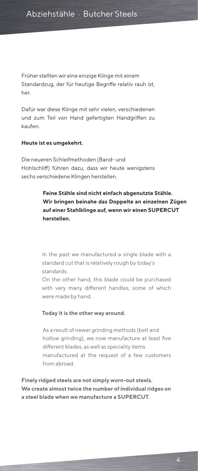Früher stellten wir eine einzige Klinge mit einem Standardzug, der für heutige Begriffe relativ rauh ist, her.

Dafür war diese Klinge mit sehr vielen, verschiedenen und zum Teil von Hand gefertigten Handgriffen zu kaufen.

#### **Heute ist es umgekehrt.**

Die neueren Schleifmethoden (Band- und Hohlschliff) führen dazu, dass wir heute wenigstens sechs verschiedene Klingen herstellen.

## **Feine Stähle sind nicht einfach abgenutzte Stähle. Wir bringen beinahe das Doppelte an einzelnen Zügen auf einer Stahlklinge auf, wenn wir einen SUPERCUT herstellen.**

In the past we manufactured a single blade with a standard cut that is relatively rough by today's standards.

On the other hand, this blade could be purchased with very many different handles, some of which were made by hand.

#### **Today it is the other way around.**

As a result of newer grinding methods (belt and hollow grinding), we now manufacture at least five different blades, as well as speciality items manufactured at the request of a few customers from abroad.

**Finely ridged steels are not simply worn-out steels. We create almost twice the number of individual ridges on a steel blade when we manufacture a SUPERCUT.**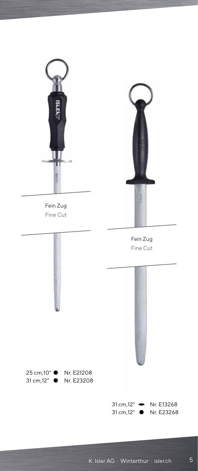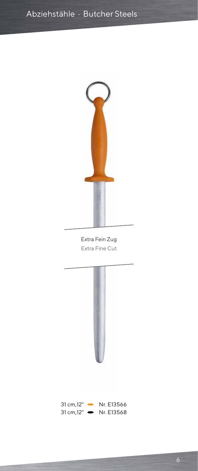

Extra Fein Zug Extra Fine Cut

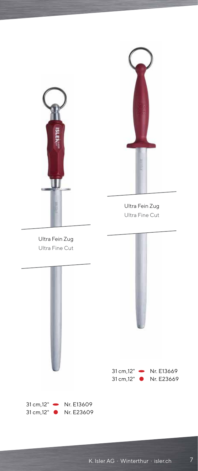

Ultra Fein Zug Ultra Fine Cut

Ultra Fein Zug Ultra Fine Cut





#### 31 cm, 12" • Nr. E13669 31 cm,12" ● Nr. E23669

 $31 cm, 12"$  Nr. E13609 31 cm,12" ● Nr. E23609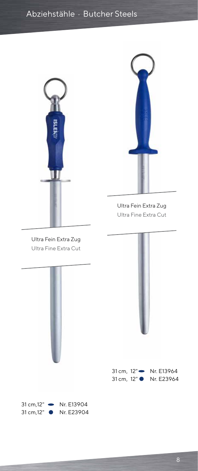



Ultra Fein Extra Zug Ultra Fine Extra Cut

Ultra Fein Extra Zug Ultra Fine Extra Cut





31 cm, 12" Nr. E13964 31 cm, 12" • Nr. E23964

31 cm, 12" • Nr. E13904 31 cm,12" ● Nr. E23904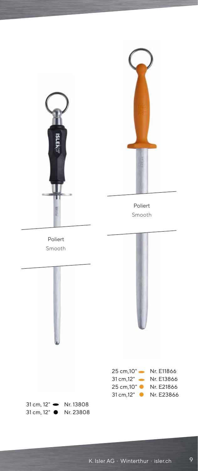



Poliert Smooth

Poliert Smooth





| 25 cm.10"               | Nr. E11866 |
|-------------------------|------------|
| 31 cm.12"               | Nr. E13866 |
| 25 cm, 10"<br>$\bullet$ | Nr. F21866 |
| 31 cm.12"               | Nr. E23866 |

 $31 cm$ ,  $12"$  Nr. 13808 31 cm, 12" ● Nr. 23808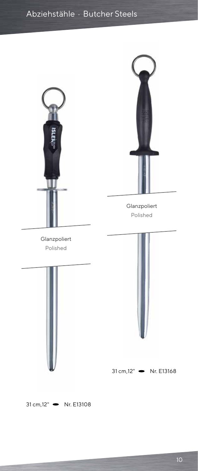



Glanzpoliert Polished

Glanzpoliert Polished





 $31 cm, 12"$  Nr. E13168

 $31 cm, 12"$  Nr. E13108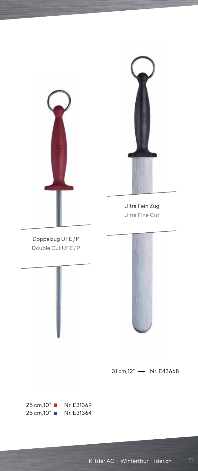

Ultra Fein Zug Ultra Fine Cut

Doppelzug UFE/P Double Cut UFE/P





 $31 cm, 12"$  - Nr. E43668

25 cm,10" ■ Nr. E31369 25 cm,10" ■ Nr. E31364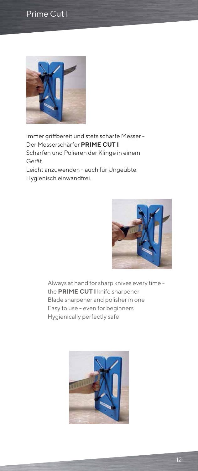# Prime Cut I



Immer griffbereit und stets scharfe Messer - Der Messerschärfer **PRIME CUT I** Schärfen und Polieren der Klinge in einem Gerät.

Leicht anzuwenden - auch für Ungeübte. Hygienisch einwandfrei.



Always at hand for sharp knives every time the **PRIME CUT I** knife sharpener Blade sharpener and polisher in one Easy to use - even for beginners Hygienically perfectly safe

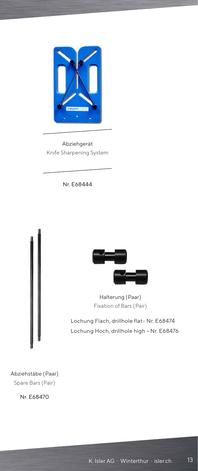

Abziehgerät Knife Sharpening System

Nr. E68444





Halterung (Paar) Fixation of Bars (Pair)

Lochung Flach, drillhole flat– Nr. E68474 Lochung Hoch, drillhole high – Nr. E68476

Abziehstäbe ( Paar) Spare Bars (Pair)

Nr. E68470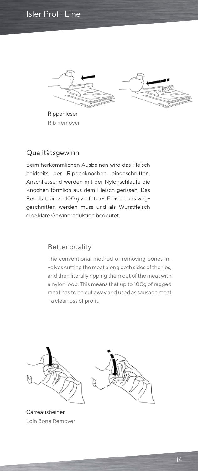# Isler Profi-Line





Rippenlöser Rib Remover

# Qualitätsgewinn

Beim herkömmlichen Ausbeinen wird das Fleisch beidseits der Rippenknochen eingeschnitten. Anschliessend werden mit der Nylonschlaufe die Knochen förmlich aus dem Fleisch gerissen. Das Resultat: bis zu 100 g zerfetztes Fleisch, das weggeschnitten werden muss und als Wurstfleisch eine klare Gewinnreduktion bedeutet.

# Better quality

The conventional method of removing bones involves cutting the meat along both sides of the ribs, and then literally ripping them out of the meat with a nylon loop. This means that up to 100g of ragged meat has to be cut away and used as sausage meat - a clear loss of profit.



Carréausbeiner Loin Bone Remover

16 14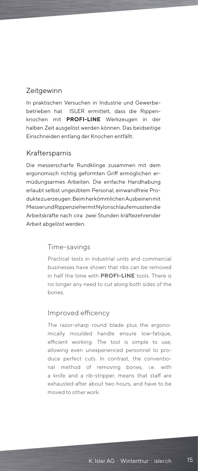# **Zeitgewinn**

In praktischen Versuchen in Industrie und Gewerbebetrieben hat ISLER ermittelt, dass die Rippenknochen mit **PROFI-LINE** Werkzeugen in der halben Zeit ausgelöst werden können. Das beidseitige Einschneiden entlang der Knochen entfällt.

# Kraftersparnis

Die messerscharfe Rundklinge zusammen mit dem ergonomisch richtig geformten Griff ermöglichen ermüdungsarmes Arbeiten. Die einfache Handhabung erlaubt selbst ungeübtem Personal, einwandfreie Produkte zu erzeugen. Beim herkömmlichen Ausbeinen mit Messer und Rippenzieher mit Nylonschlaufe mussten die Arbeitskräfte nach cira zwei Stunden kräftezehrender Arbeit abgelöst werden.

# Time-savings

Practical tests in industrial units and commercial businesses have shown that ribs can be removed in half the time with **PROFI-LINE** tools. There is no longer any need to cut along both sides of the bones.

# Improved efficency

The razor-sharp round blade plus the ergonomically moulded handle ensure low-fatique, efficient working. The tool is simple to use, allowing even unexperienced personnel to produce perfect cuts. In contrast, the conventional method of removing bones, i.e. with a knife and a rib-stripper, means that staff are exhausted after about two hours, and have to be moved to other work.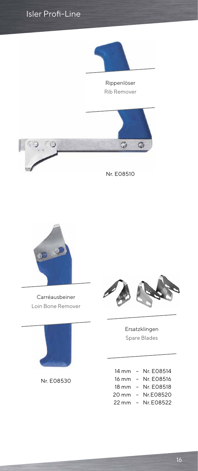



Carréausbeiner Loin Bone Remover



Nr. E08530



Ersatzklingen Spare Blades

| 14 mm              | $ \,$                    | Nr. F08514 |
|--------------------|--------------------------|------------|
| 16 mm              | $\overline{\phantom{0}}$ | Nr. E08516 |
| $18 \text{ mm}$    | $-$                      | Nr. E08518 |
| 20 mm              | $-$                      | Nr.E08520  |
| $22 \,\mathrm{mm}$ | $\overline{\phantom{0}}$ | Nr. F08522 |
|                    |                          |            |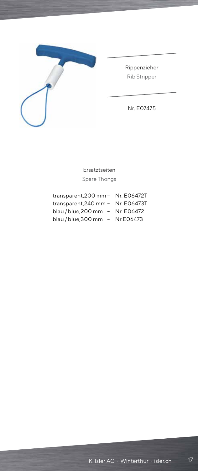

Rippenzieher Rib Stripper

Nr. E07475

Ersatztseiten Spare Thongs

| transparent, 200 mm - Nr. E06472T |  |
|-----------------------------------|--|
| transparent,240 mm - Nr. E06473T  |  |
| blau / blue, 200 mm - Nr. E06472  |  |
| blau / blue, 300 mm - Nr. E06473  |  |
|                                   |  |